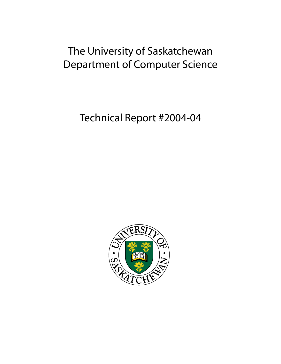# The University of Saskatchewan Department of Computer Science

Technical Report #2004-04

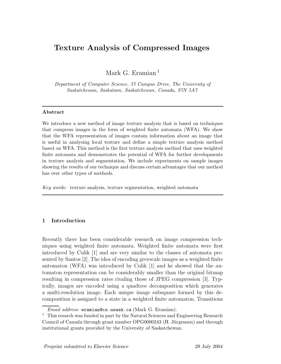# Texture Analysis of Compressed Images

Mark G. Eramian<sup>1</sup>

Department of Computer Science, 57 Campus Drive, The University of Saskatchewan, Saskatoon, Saskatchewan, Canada, S7N 5A7

#### Abstract

We introduce a new method of image texture analysis that is based on techniques that compress images in the form of weighted finite automata (WFA). We show that the WFA representation of images contain information about an image that is useful in analysing local texture and define a simple texture analysis method based on WFA. This method is the first texture analysis method that uses weighted finite automata and demonstrates the potential of WFA for further developments in texture analysis and segmentation. We include experiments on sample images showing the results of our technique and discuss certain advantages that our method has over other types of methods.

Key words: texture analysis, texture segmentation, weighted automata

#### 1 Introduction

Recently there has been considerable research on image compression techniques using weighted finite automata. Weighted finite automata were first introduced by Culik [1] and are very similar to the classes of automata presented by Santos [2]. The idea of encoding greyscale images as a weighted finite automaton (WFA) was introduced by Culik [1] and he showed that the automaton representation can be considerably smaller than the original bitmap resulting in compression rates rivaling those of JPEG compression [3]. Typically, images are encoded using a quadtree decomposition which generates a multi-resolution image. Each unique image subsquare formed by this decomposition is assigned to a state in a weighted finite automaton. Transitions

Email address: eramian@cs.usask.ca (Mark G. Eramian).

<sup>&</sup>lt;sup>1</sup> This resarch was funded in part by the Natural Sciences and Engineering Research Council of Canada through grant number OPG0000243 (H. Jürgensen) and through institutional grants provided by the University of Saskatchewan.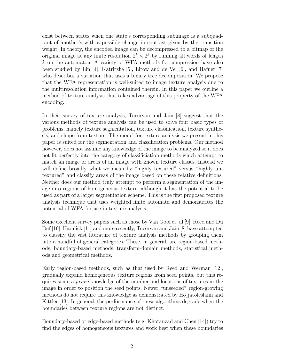exist between states when one state's corresponding subimage is a subquadrant of another's with a possible change in contrast given by the transition weight. In theory, the encoded image can be decompressed to a bitmap of the original image at any finite resolution  $2^k \times 2^k$  by running all words of length  $k$  on the automaton. A variety of WFA methods for compression have also been studied by Lin [4], Katritzke [5], Litow and de Vel [6], and Hafner [7] who describes a variation that uses a binary tree decomposition. We propose that the WFA representation is well-suited to image texture analysis due to the multiresolution information contained therein. In this paper we outline a method of texture analysis that takes advantage of this property of the WFA encoding.

In their survey of texture analysis, Tuceryan and Jain [8] suggest that the various methods of texture analysis can be used to solve four basic types of problems, namely texture segmentation, texture classification, texture synthesis, and shape from texture. The model for texture analysis we present in this paper is suited for the segmentation and classification problems. Our method however, does not assume any knowledge of the image to be analyzed so it does not fit perfectly into the category of classificiation methods which attempt to match an image or areas of an image with known texture classes. Instead we will define broadly what we mean by "highly textured" versus "highly untextured" and classify areas of the image based on these relative definitions. Neither does our method truly attempt to perform a segmentation of the image into regions of homogeneous texture, although it has the potential to be used as part of a larger segmentation scheme. This is the first proposed texture analysis technique that uses weighted finite automata and demonstrates the potential of WFA for use in texture analysis.

Some excellent survey papers such as those by Van Gool et. al [9], Reed and Du Buf [10], Haralick [11] and more recently, Tuceryan and Jain [8] have attempted to classify the vast literature of texture analysis methods by grouping them into a handful of general categores. These, in general, are region-based methods, boundary-based methods, transform-domain methods, statistical methods and geometrical methods.

Early region-based methods, such as that used by Reed and Werman [12], gradually expand homogeneous texture regions from seed points, but this requires some a-priori knowledge of the number and locations of textures in the image in order to position the seed points. Newer "unseeded" region-growing methods do not require this knowledge as demonstrated by Hojjatoleslami and Kittler [13]. In general, the performance of these algorithms degrade when the boundaries between texture regions are not distinct.

Boundary-based or edge-based methods (e.g. Khotanzad and Chen [14]) try to find the edges of homogeneous textures and work best when these boundaries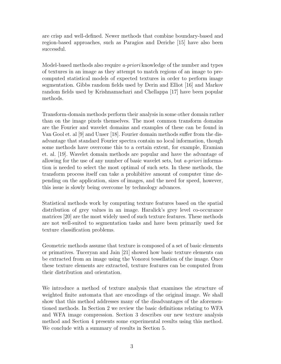are crisp and well-defined. Newer methods that combine boundary-based and region-based approaches, such as Paragios and Deriche [15] have also been successful.

Model-based methods also require *a-priori* knowledge of the number and types of textures in an image as they attempt to match regions of an image to precomputed statistical models of expected textures in order to perform image segmentation. Gibbs random fields used by Derin and Elliot [16] and Markov random fields used by Krishnamachari and Chellappa [17] have been popular methods.

Transform-domain methods perform their analysis in some other domain rather than on the image pixels themselves. The most common transform domains are the Fourier and wavelet domains and examples of these can be found in Van Gool et. al [9] and Unser [18]. Fourier domain methods suffer from the disadvantage that standard Fourier spectra contain no local information, though some methods have overcome this to a certain extent, for example, Eramian et. al. [19]. Wavelet domain methods are popular and have the advantage of allowing for the use of any number of basic wavelet sets, but a-priori information is needed to select the most optimal of such sets. In these methods, the transform process itself can take a prohibitive amount of computer time depending on the application, sizes of images, and the need for speed, however, this issue is slowly being overcome by technology advances.

Statistical methods work by computing texture features based on the spatial distribution of grey values in an image. Haralick's grey level co-occurance matrices [20] are the most widely used of such texture features. These methods are not well-suited to segmentation tasks and have been primarily used for texture classification problems.

Geometric methods assume that texture is composed of a set of basic elements or primatives. Tuceryan and Jain [21] showed how basic texture elements can be extracted from an image using the Vonoroi tessellation of the image. Once these texture elements are extracted, texture features can be computed from their distribution and orientation.

We introduce a method of texture analysis that examines the structure of weighted finite automata that are encodings of the original image. We shall show that this method addresses many of the disadvantages of the aforementioned methods. In Section 2 we review the basic definitions relating to WFA and WFA image compression. Section 3 describes our new texture analysis method and Section 4 presents some experimental results using this method. We conclude with a summary of results in Section 5.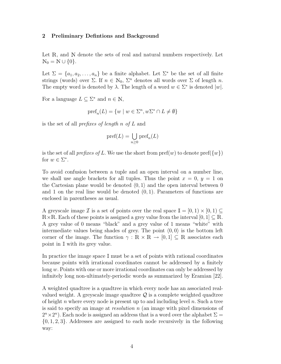#### 2 Preliminary Defintions and Background

Let  $\mathbb{R}$ , and  $\mathbb{N}$  denote the sets of real and natural numbers respectively. Let  $N_0 = N \cup \{0\}.$ 

Let  $\Sigma = \{a_1, a_2, \ldots, a_n\}$  be a finite alphabet. Let  $\Sigma^*$  be the set of all finite strings (words) over  $\Sigma$ . If  $n \in \mathbb{N}_0$ ,  $\Sigma^n$  denotes all words over  $\Sigma$  of length n. The empty word is denoted by  $\lambda$ . The length of a word  $w \in \Sigma^*$  is denoted  $|w|$ .

For a language  $L \subseteq \Sigma^*$  and  $n \in \mathbb{N}$ ,

$$
\text{pref}_n(L) = \{w \mid w \in \Sigma^n, w\Sigma^* \cap L \neq \emptyset\}
$$

is the set of all prefixes of length n of L and

$$
\text{pref}(L)=\bigcup_{n\geq 0}\text{pref}_n(L)
$$

is the set of all *prefixes of L*. We use the short from  $\text{pref}(w)$  to denote  $\text{pref}(\{w\})$ for  $w \in \Sigma^*$ .

To avoid confusion between a tuple and an open interval on a number line, we shall use angle brackets for all tuples. Thus the point  $x = 0, y = 1$  on the Cartesian plane would be denoted  $(0, 1)$  and the open interval between 0 and 1 on the real line would be denoted  $(0, 1)$ . Parameters of functions are enclosed in parentheses as usual.

A greyscale image  $\mathcal I$  is a set of points over the real space  $\mathbb I = [0,1) \times [0,1) \subseteq$  $\mathbb{R} \times \mathbb{R}$ . Each of these points is assigned a grey value from the interval  $[0,1] \subseteq \mathbb{R}$ . A grey value of 0 means "black" and a grey value of 1 means "white" with intermediate values being shades of grey. The point  $(0, 0)$  is the bottom left corner of the image. The function  $\gamma : \mathbb{R} \times \mathbb{R} \to [0,1] \subseteq \mathbb{R}$  associates each point in  $\mathbb I$  with its grey value.

In practice the image space  $\mathbb I$  must be a set of points with rational coordinates because points with irrational coordinates cannot be addressed by a finitely long w. Points with one or more irrational coordinates can only be addressed by infinitely long non-ultimately-periodic words as summarized by Eramian [22].

A weighted quadtree is a quadtree in which every node has an associated realvalued weight. A greyscale image quadtree  $\mathcal Q$  is a complete weighted quadtree of height n where every node is present up to and including level n. Such a tree is said to specify an image at resolution n (an image with pixel dimensions of  $2^{n} \times 2^{n}$ ). Each node is assigned an address that is a word over the alphabet  $\Sigma =$  $\{0, 1, 2, 3\}$ . Addresses are assigned to each node recursively in the following way: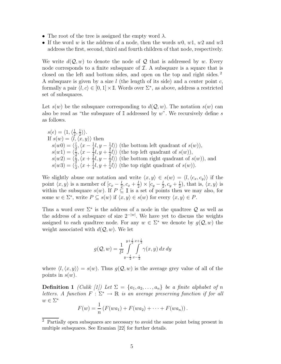- The root of the tree is assigned the empty word  $\lambda$ .
- If the word w is the address of a node, then the words  $w_0$ ,  $w_1$ ,  $w_2$  and  $w_3$ address the first, second, third and fourth children of that node, respectively.

We write  $d(Q, w)$  to denote the node of Q that is addressed by w. Every node corresponds to a finite subsquare of  $I$ . A subsquare is a square that is closed on the left and bottom sides, and open on the top and right sides. <sup>2</sup> A subsquare is given by a size l (the length of its side) and a center point c, formally a pair  $\langle l, c \rangle \in [0, 1] \times \mathbb{I}$ . Words over  $\Sigma^*$ , as above, address a restricted set of subsquares.

Let  $s(w)$  be the subsquare corresponding to  $d(Q, w)$ . The notation  $s(w)$  can also be read as "the subsquare of  $\mathbb I$  addressed by w". We recursively define s as follows.

$$
s(\epsilon) = \langle 1, \langle \frac{1}{2}, \frac{1}{2} \rangle \rangle.
$$
  
If  $s(w) = \langle l, \langle x, y \rangle \rangle$  then  
 $s(w0) = \langle \frac{l}{2}, \langle x - \frac{1}{4}l, y - \frac{1}{4}l \rangle \rangle$  (the bottom left quadrant of  $s(w)$ ),  
 $s(w1) = \langle \frac{l}{2}, \langle x - \frac{1}{4}l, y + \frac{1}{4}l \rangle \rangle$  (the top left quadrant of  $s(w)$ ),  
 $s(w2) = \langle \frac{l}{2}, \langle x + \frac{1}{4}l, y - \frac{1}{4}l \rangle \rangle$  (the bottom right quadrant of  $s(w)$ ), and  
 $s(w3) = \langle \frac{l}{2}, \langle x + \frac{1}{4}l, y + \frac{1}{4}l \rangle \rangle$  (the top right quadrant of  $s(w)$ ).

We slightly abuse our notation and write  $\langle x, y \rangle \in s(w) = \langle l, \langle c_x, c_y \rangle \rangle$  if the point  $\langle x, y \rangle$  is a member of  $[c_x - \frac{l}{2}]$  $\frac{l}{2}, c_x + \frac{l}{2}$  $(\frac{l}{2}) \times [c_y - \frac{l}{2}]$  $\frac{l}{2}, c_y+\frac{l}{2}$  $(\frac{l}{2})$ , that is,  $\langle x, y \rangle$  is within the subsquare  $s(w)$ . If  $P \subseteq \mathbb{I}$  is a set of points then we may also, for some  $w \in \Sigma^*$ , write  $P \subseteq s(w)$  if  $\langle x, y \rangle \in s(w)$  for every  $\langle x, y \rangle \in P$ .

Thus a word over  $\Sigma^*$  is the address of a node in the quadtree  $\mathcal Q$  as well as the address of a subsquare of size  $2^{-|w|}$ . We have yet to discuss the weights assigned to each quadtree node. For any  $w \in \Sigma^*$  we denote by  $g(\mathcal{Q}, w)$  the weight associated with  $d(Q, w)$ . We let

$$
g(Q, w) = \frac{1}{l^2} \int_{y - \frac{l}{2}}^{y + \frac{l}{2}} \int_{x - \frac{l}{2}}^{y + \frac{l}{2}} \gamma(x, y) dx dy
$$

where  $\langle l, \langle x, y \rangle \rangle = s(w)$ . Thus  $g(Q, w)$  is the average grey value of all of the points in  $s(w)$ .

**Definition 1** (Culik [1]) Let  $\Sigma = \{a_1, a_2, \ldots, a_n\}$  be a finite alphabet of n letters. A function  $F : \Sigma^* \to \mathbb{R}$  is an average preserving function if for all  $w \in \Sigma^*$ 

$$
F(w) = \frac{1}{n} (F(wa_1) + F(wa_2) + \cdots + F(wa_n)).
$$

<sup>2</sup> Partially open subsquares are necessary to avoid the same point being present in multiple subsquares. See Eramian [22] for further details.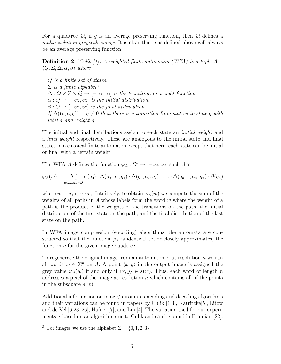For a quadtree  $\mathcal{Q}$ , if q is an average preserving function, then  $\mathcal{Q}$  defines a multiresolution greyscale image. It is clear that g as defined above will always be an average preserving function.

**Definition 2** (Culik [1]) A weighted finite automaton (WFA) is a tuple  $A =$  $\langle Q, \Sigma, \Delta, \alpha, \beta \rangle$  where

Q is a finite set of states.  $\Sigma$  is a finite alphabet<sup>3</sup>  $\Delta: Q \times \Sigma \times Q \rightarrow [-\infty, \infty]$  is the transition or weight function.  $\alpha: Q \to [-\infty, \infty]$  is the initial distribution.  $\beta: Q \to [-\infty, \infty]$  is the final distribution. If  $\Delta((p, a, q)) = g \neq 0$  then there is a transition from state p to state q with label a and weight g.

The initial and final distributions assign to each state an *initial weight* and a final weight respectively. These are analogous to the initial state and final states in a classical finite automaton except that here, each state can be initial or final with a certain weight.

The WFA A defines the function  $\varphi_A : \Sigma^* \to [-\infty, \infty]$  such that

$$
\varphi_A(w) = \sum_{q_0,\dots,q_n \in Q} \alpha(q_0) \cdot \Delta(q_0, a_1, q_1) \cdot \Delta(q_1, a_2, q_2) \cdot \ldots \cdot \Delta(q_{n-1}, a_n, q_n) \cdot \beta(q_n)
$$

where  $w = a_1 a_2 \cdots a_n$ . Intuitively, to obtain  $\varphi_A(w)$  we compute the sum of the weights of all paths in A whose labels form the word  $w$  where the weight of a path is the product of the weights of the transitions on the path, the initial distribution of the first state on the path, and the final distribution of the last state on the path.

In WFA image compression (encoding) algorithms, the automata are constructed so that the function  $\varphi_A$  is identical to, or closely approximates, the function  $g$  for the given image quadtree.

To regenerate the original image from an automaton  $A$  at resolution  $n$  we run all words  $w \in \Sigma^n$  on A. A point  $\langle x, y \rangle$  in the output image is assigned the grey value  $\varphi_A(w)$  if and only if  $\langle x, y \rangle \in s(w)$ . Thus, each word of length n addresses a pixel of the image at resolution  $n$  which contains all of the points in the subsquare  $s(w)$ .

Additional information on image/automata encoding and decoding algorithms and their variations can be found in papers by Culik [1,3], Katritzke[5], Litow and de Vel [6,23–26], Hafner [7], and Lin [4]. The variation used for our experiments is based on an algorithm due to Culik and can be found in Eramian [22].

<sup>&</sup>lt;sup>3</sup> For images we use the alphabet  $\Sigma = \{0, 1, 2, 3\}.$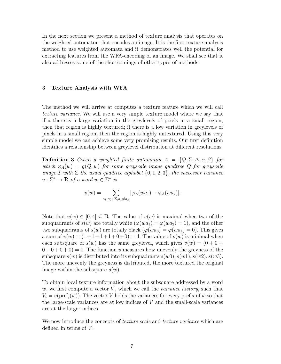In the next section we present a method of texture analysis that operates on the weighted automaton that encodes an image. It is the first texture analysis method to use weighted automata and it demonstrates well the potential for extracting features from the WFA-encoding of an image. We shall see that it also addresses some of the shortcomings of other types of methods.

#### 3 Texture Analysis with WFA

The method we will arrive at computes a texture feature which we will call texture variance. We will use a very simple texture model where we say that if a there is a large variation in the greylevels of pixels in a small region, then that region is highly textured; if there is a low variation in greylevels of pixels in a small region, then the region is highly untextured. Using this very simple model we can achieve some very promising results. Our first definition identifies a relationship between greylevel distribution at different resolutions.

**Definition 3** Given a weighted finite automator  $A = \{Q, \Sigma, \Delta, \alpha, \beta\}$  for which  $\varphi_A(w) = g(Q, w)$  for some greyscale image quadtree Q for greyscale image  $\mathcal I$  with  $\Sigma$  the usual quadtree alphabet  $\{0, 1, 2, 3\}$ , the successor variance  $v : \Sigma^* \to \mathbb{R}$  of a word  $w \in \Sigma^*$  is

$$
v(w) = \sum_{a_1, a_2 \in \Sigma, a_1 \neq a_2} |\varphi_A(wa_1) - \varphi_A(wa_2)|.
$$

Note that  $v(w) \in [0, 4] \subseteq \mathbb{R}$ . The value of  $v(w)$  is maximal when two of the subquadrants of  $s(w)$  are totally white  $(\varphi(wa_1) = \varphi(wa_2) = 1)$ , and the other two subquadrants of  $s(w)$  are totally black  $(\varphi(wa_3) = \varphi(wa_4) = 0)$ . This gives a sum of  $v(w) = (1 + 1 + 1 + 1 + 0 + 0) = 4$ . The value of  $v(w)$  is minimal when each subsquare of  $s(w)$  has the same greylevel, which gives  $v(w) = (0 + 0 +$  $0 + 0 + 0 + 0 = 0$ . The function v measures how unevenly the greyness of the subsquare  $s(w)$  is distributed into its subquadrants  $s(w0), s(w1), s(w2), s(w3)$ . The more unevenly the greyness is distributed, the more textured the original image within the subsquare  $s(w)$ .

To obtain local texture information about the subsquare addressed by a word  $w$ , we first compute a vector  $V$ , which we call the *variance history*, such that  $V_i = v(\text{pref}_i(w))$ . The vector V holds the variances for every prefix of w so that the large-scale variances are at low indices of  $V$  and the small-scale variances are at the larger indices.

We now introduce the concepts of *texture scale* and *texture variance* which are defined in terms of  $V$ .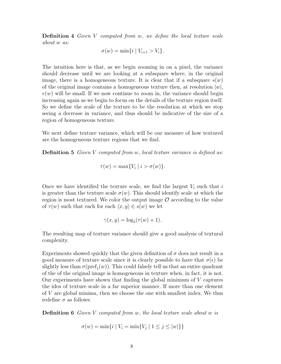Definition 4 Given V computed from w, we define the local texture scale about w as:

$$
\sigma(w) = \min\{i \mid V_{i+1} > V_i\}.
$$

The intuition here is that, as we begin zooming in on a pixel, the variance should decrease until we are looking at a subsquare where, in the original image, there is a homogeneous texture. It is clear that if a subsquare  $s(w)$ of the original image contains a homogeneous texture then, at resolution  $|w|$ ,  $v(w)$  will be small. If we now continue to zoom in, the variance should begin increasing again as we begin to focus on the details of the texture region itself. So we define the scale of the texture to be the resolution at which we stop seeing a decrease in variance, and thus should be indicative of the size of a region of homogeneous texture.

We next define texture variance, which will be our measure of how textured are the homogeneous texture regions that we find.

**Definition 5** Given V computed from w, local texture variance is defined as:

$$
\tau(w) = \max\{V_i \mid i > \sigma(w)\}.
$$

Once we have identified the texture scale, we find the largest  $V_i$  such that i is greater than the texture scale  $\sigma(w)$ . This should identify scale at which the region is most textured. We color the output image  $\mathcal O$  according to the value of  $\tau(w)$  such that each for each  $\langle x, y \rangle \in s(w)$  we let

$$
\gamma(x, y) = \log_5(\tau(w) + 1).
$$

The resulting map of texture variance should give a good analysis of textural complexity.

Experiments showed quickly that the given definition of  $\sigma$  does not result in a good measure of texture scale since it is clearly possible to have that  $\sigma(\epsilon)$  be slightly less than  $\sigma(\text{pref}_1(w))$ . This could falsely tell us that an entire quadrant of the of the original image is homogeneous in texture when, in fact, it is not. Our experiments have shown that finding the global minimum of V captures the idea of texture scale in a far superior manner. If more than one element of V are global minima, then we choose the one with smallest index. We thus redefine  $\sigma$  as follows:

**Definition 6** Given  $V$  computed from  $w$ , the local texture scale about  $w$  is

$$
\sigma(w) = \min\{i \mid V_i = \min\{V_j \mid 1 \le j \le |w|\}\}
$$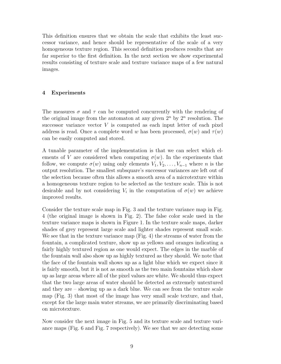This definition ensures that we obtain the scale that exhibits the least successor variance, and hence should be representative of the scale of a very homogeneous texture region. This second definition produces results that are far superior to the first definition. In the next section we show experimental results consisting of texture scale and texture variance maps of a few natural images.

### 4 Experiments

The measures  $\sigma$  and  $\tau$  can be computed concurrently with the rendering of the original image from the automaton at any given  $2^n$  by  $2^n$  resolution. The successor variance vector  $V$  is computed as each input letter of each pixel address is read. Once a complete word w has been processed,  $\sigma(w)$  and  $\tau(w)$ can be easily computed and stored.

A tunable parameter of the implementation is that we can select which elements of V are considered when computing  $\sigma(w)$ . In the experiments that follow, we compute  $\sigma(w)$  using only elements  $V_1, V_2, \ldots, V_{n-1}$  where n is the output resolution. The smallest subsquare's successor variances are left out of the selection because often this allows a smooth area of a microtexture within a homogeneous texture region to be selected as the texture scale. This is not desirable and by not considering  $V_i$  in the computation of  $\sigma(w)$  we achieve improved results.

Consider the texture scale map in Fig. 3 and the texture variance map in Fig. 4 (the original image is shown in Fig. 2). The false color scale used in the texture variance maps is shown in Figure 1. In the texture scale maps, darker shades of grey represent large scale and lighter shades represent small scale. We see that in the texture variance map (Fig. 4) the streams of water from the fountain, a complicated texture, show up as yellows and oranges indicating a fairly highly textured region as one would expect. The edges in the marble of the fountain wall also show up as highly textured as they should. We note that the face of the fountain wall shows up as a light blue which we expect since it is fairly smooth, but it is not as smooth as the two main fountains which show up as large areas where all of the pixel values are white. We should thus expect that the two large areas of water should be detected as extremely untextured and they are – showing up as a dark blue. We can see from the texture scale map (Fig. 3) that most of the image has very small scale texture, and that, except for the large main water streams, we are primarily discriminating based on microtexture.

Now consider the next image in Fig. 5 and its texture scale and texture variance maps (Fig. 6 and Fig. 7 respectively). We see that we are detecting some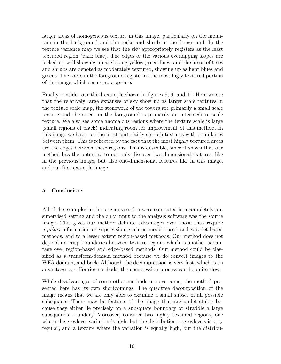larger areas of homogeneous texture in this image, particularly on the mountain in the background and the rocks and shrub in the foreground. In the texture variance map we see that the sky appropriately registers as the least textured region (dark blue). The edges of the various overlapping slopes are picked up well showing up as sloping yellow-green lines, and the areas of trees and shrubs are denoted as moderately textured, showing up as light blues and greens. The rocks in the foreground register as the most higly textured portion of the image which seems appropriate.

Finally consider our third example shown in figures 8, 9, and 10. Here we see that the relatively large expanses of sky show up as larger scale textures in the texture scale map, the stonework of the towers are primarily a small scale texture and the street in the foreground is primarily an intermediate scale texture. We also see some anomalous regions where the texture scale is large (small regions of black) indicating room for improvement of this method. In this image we have, for the most part, fairly smooth textures with boundaries between them. This is reflected by the fact that the most highly textured areas are the edges between these regions. This is desirable, since it shows that our method has the potential to not only discover two-dimensional features, like in the previous image, but also one-dimensional features like in this image, and our first example image.

## 5 Conclusions

All of the examples in the previous section were computed in a completely unsupervised setting and the only input to the analysis software was the source image. This gives our method definite advantages over those that require a-priori information or supervision, such as model-based and wavelet-based methods, and to a lesser extent region-based methods. Our method does not depend on crisp boundaries between texture regions which is another advantage over region-based and edge-based methods. Our method could be classified as a transform-domain method because we do convert images to the WFA domain, and back. Although the decompression is very fast, which is an advantage over Fourier methods, the compression process can be quite slow.

While disadvantages of some other methods are overcome, the method presented here has its own shortcomings. The quadtree decomposition of the image means that we are only able to examine a small subset of all possible subsquares. There may be features of the image that are undetectable because they either lie precisely on a subsquare boundary or straddle a large subsquare's boundary. Moreover, consider two highly textured regions, one where the greylevel variation is high, but the distribution of greylevels is very regular, and a texture where the variation is equally high, but the distribu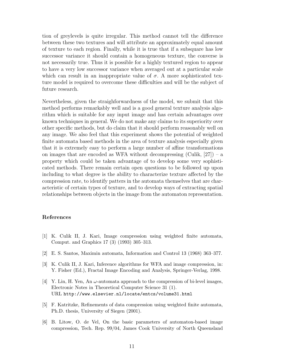tion of greylevels is quite irregular. This method cannot tell the difference between these two textures and will attribute an approximately equal amount of texture to each region. Finally, while it is true that if a subsquare has low successor variance it should contain a homogeneous texture, the converse is not necessarily true. Thus it is possible for a highly textured region to appear to have a very low successor variance when averaged out at a particular scale which can result in an inappropriate value of  $\sigma$ . A more sophisticated texture model is required to overcome these difficulties and will be the subject of future research.

Nevertheless, given the straighforwardness of the model, we submit that this method performs remarkably well and is a good general texture analysis algorithm which is suitable for any input image and has certain advantages over known techniques in general. We do not make any claims to its superiority over other specific methods, but do claim that it should perform reasonably well on any image. We also feel that this experiment shows the potential of weighted finite automata based methods in the area of texture analysis especially given that it is extremely easy to perform a large number of affine transformations on images that are encoded as WFA without decompressing (Culik,  $[27]$ ) – a property which could be taken advantage of to develop some very sophisticated methods. There remain certain open questions to be followed up upon including to what degree is the ability to characterize texture affected by the compression rate, to identify patters in the automata themselves that are characteristic of certain types of texture, and to develop ways of extracting spatial relationships between objects in the image from the automaton representation.

#### References

- [1] K. Culik II, J. Kari, Image compression using weighted finite automata, Comput. and Graphics 17 (3) (1993) 305–313.
- [2] E. S. Santos, Maximin automata, Information and Control 13 (1968) 363–377.
- [3] K. Culik II, J. Kari, Inference algorithms for WFA and image compression, in: Y. Fisher (Ed.), Fractal Image Encoding and Analysis, Springer-Verlag, 1998.
- [4] Y. Lin, H. Yen, An  $\omega$ -automata approach to the compression of bi-level images, Electronic Notes in Theoretical Computer Science 31 (1). URL http://www.elsevier.nl/locate/entcs/volume31.html
- [5] F. Katritzke, Refinements of data compression using weighted finite automata, Ph.D. thesis, University of Siegen (2001).
- [6] B. Litow, O. de Vel, On the basic parameters of automaton-based image compression, Tech. Rep. 99/04, James Cook University of North Queensland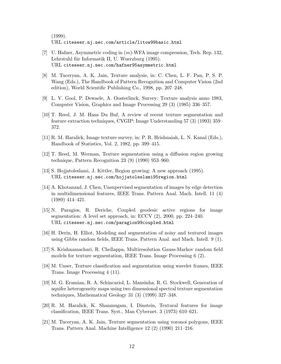(1999). URL citeseer.nj.nec.com/article/litow99basic.html

- [7] U. Hafner, Asymmetric coding in (m)-WFA image compression, Tech. Rep. 132, Lehrstuhl für Informatik II, U. Wuerzburg (1995). URL citeseer.nj.nec.com/hafner95asymmetric.html
- [8] M. Tuceryan, A. K. Jain, Texture analysis, in: C. Chen, L. F. Pau, P. S. P. Wang (Eds.), The Handbook of Pattern Recognition and Computer Vision (2nd edition), World Scientific Publishing Co., 1998, pp. 207–248.
- [9] L. V. Gool, P. Dewaele, A. Oosterlinck, Survey: Texture analysis anno 1983, Computer Vision, Graphics and Image Processing 29 (3) (1985) 336–357.
- [10] T. Reed, J. M. Hans Du Buf, A review of recent texture segmentation and feature extraction techniques, CVGIP: Image Understanding 57 (3) (1993) 359– 372.
- [11] R. M. Haralick, Image texture survey, in: P. R. Hrishnaiah, L. N. Kanal (Eds.), Handbook of Statistics, Vol. 2, 1982, pp. 399–415.
- [12] T. Reed, M. Werman, Texture segmentation using a diffusion region growing technique, Pattern Recognition 23 (9) (1990) 953–960.
- [13] S. Hojjatoleslami, J. Kittler, Region growing: A new approach (1995). URL citeseer.nj.nec.com/hojjatoleslami95region.html
- [14] A. Khotanzad, J. Chen, Unsupervised segmentation of images by edge detection in multidimensional features, IEEE Trans. Pattern Anal. Mach. Intell. 11 (4) (1989) 414–421.
- [15] N. Paragios, R. Deriche, Coupled geodesic active regions for image segmentation: A level set approach, in: ECCV (2), 2000, pp. 224–240. URL citeseer.nj.nec.com/paragios99coupled.html
- [16] H. Derin, H. Elliot, Modeling and segmentation of noisy and textured images using Gibbs random fields, IEEE Trans. Pattern Anal. and Mach. Intell. 9 (1).
- [17] S. Krishnamachari, R. Chellappa, Multiresolution Gauss-Markov random field models for texture segmentation, IEEE Trans. Image Processing 6 (2).
- [18] M. Unser, Texture classification and segmentation using wavelet frames, IEEE Trans. Image Processing 4 (11).
- [19] M. G. Eramian, R. A. Schincariol, L. Mansinha, R. G. Stockwell, Generation of aquifer heterogeneity maps using two dimensional spectral texture segmentation techniques, Mathematical Geology 31 (3) (1999) 327–348.
- [20] R. M. Haralick, K. Shanmugam, I. Dinstein, Textural features for image classification, IEEE Trans. Syst., Man Cybernet. 3 (1973) 610–621.
- [21] M. Tuceryan, A. K. Jain, Texture segmentation using voronoi polygons, IEEE Trans. Pattern Anal. Machine Intelligence 12 (2) (1990) 211–216.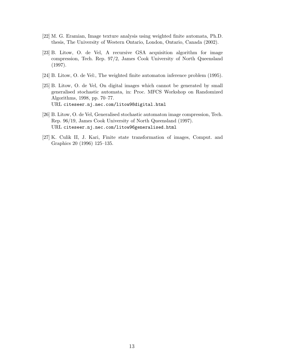- [22] M. G. Eramian, Image texture analysis using weighted finite automata, Ph.D. thesis, The University of Western Ontario, London, Ontario, Canada (2002).
- [23] B. Litow, O. de Vel, A recursive GSA acquisition algorithm for image compression, Tech. Rep. 97/2, James Cook University of North Queensland (1997).
- [24] B. Litow, O. de Vel:, The weighted finite automaton inference problem (1995).
- [25] B. Litow, O. de Vel, On digital images which cannot be generated by small generalised stochastic automata, in: Proc. MFCS Workshop on Randomized Algorithms, 1998, pp. 70–77. URL citeseer.nj.nec.com/litow98digital.html
- [26] B. Litow, O. de Vel, Generalised stochastic automaton image compression, Tech. Rep. 96/19, James Cook University of North Queensland (1997). URL citeseer.nj.nec.com/litow96generalised.html
- [27] K. Culik II, J. Kari, Finite state transformation of images, Comput. and Graphics 20 (1996) 125–135.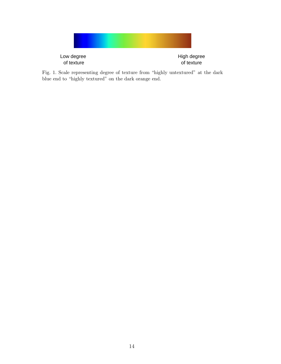

Fig. 1. Scale representing degree of texture from "highly untextured" at the dark blue end to "highly textured" on the dark orange end.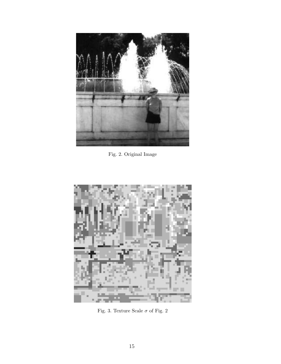

Fig. 2. Original Image



Fig. 3. Texture Scale  $\sigma$  of Fig. 2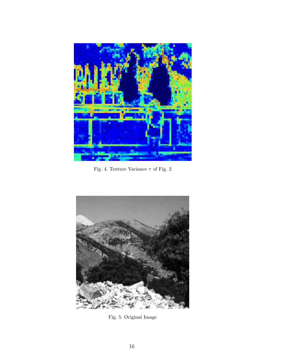

Fig. 4. Texture Variance  $\tau$  of Fig. 2



Fig. 5. Original Image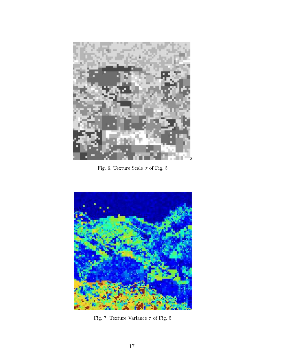

Fig. 6. Texture Scale  $\sigma$  of Fig. 5



Fig. 7. Texture Variance  $\tau$  of Fig. 5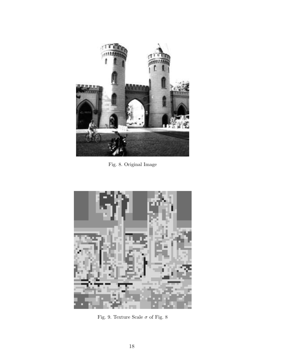

Fig. 8. Original Image



Fig. 9. Texture Scale  $\sigma$  of Fig. 8